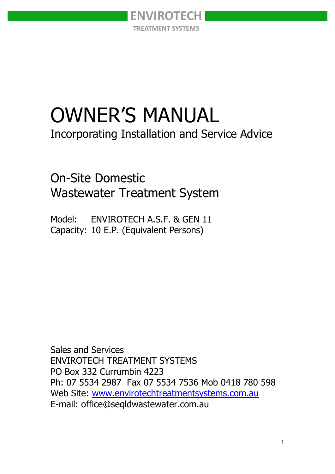

# OWNER'S MANUAL

Incorporating Installation and Service Advice

On-Site Domestic Wastewater Treatment System

Model: ENVIROTECH A.S.F. & GEN 11 Capacity: 10 E.P. (Equivalent Persons)

Sales and Services ENVIROTECH TREATMENT SYSTEMS PO Box 332 Currumbin 4223 Ph: 07 5534 2987 Fax 07 5534 7536 Mob 0418 780 598 Web Site: [www.envirotechtreatmentsystems.com.au](http://www.envirotechtreatmentsystems.com.au/) E-mail: office@seqldwastewater.com.au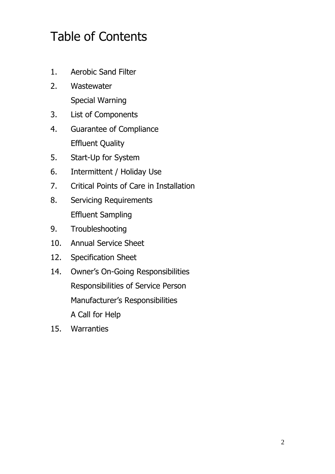# Table of Contents

- 1. Aerobic Sand Filter
- 2. Wastewater Special Warning
- 3. List of Components
- 4. Guarantee of Compliance Effluent Quality
- 5. Start-Up for System
- 6. Intermittent / Holiday Use
- 7. Critical Points of Care in Installation
- 8. Servicing Requirements Effluent Sampling
- 9. Troubleshooting
- 10. Annual Service Sheet
- 12. Specification Sheet
- 14. Owner's On-Going Responsibilities Responsibilities of Service Person Manufacturer's Responsibilities A Call for Help
- 15. Warranties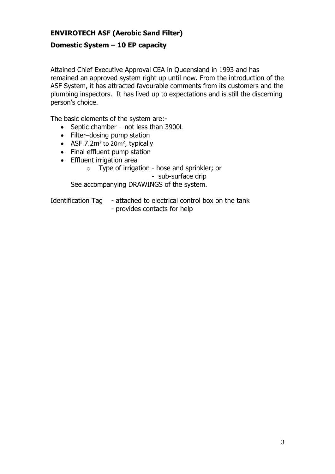#### **ENVIROTECH ASF (Aerobic Sand Filter)**

#### **Domestic System – 10 EP capacity**

Attained Chief Executive Approval CEA in Queensland in 1993 and has remained an approved system right up until now. From the introduction of the ASF System, it has attracted favourable comments from its customers and the plumbing inspectors. It has lived up to expectations and is still the discerning person's choice.

The basic elements of the system are:-

- $\bullet$  Septic chamber not less than 3900L
- Filter-dosing pump station
- ASF  $7.2m^2$  to  $20m^2$ , typically
- Final effluent pump station
- Effluent irrigation area
	- o Type of irrigation hose and sprinkler; or

- sub-surface drip

See accompanying DRAWINGS of the system.

Identification Tag - attached to electrical control box on the tank

- provides contacts for help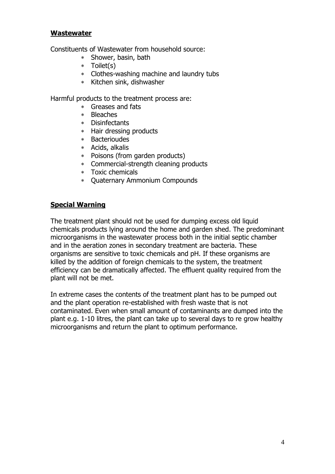#### **Wastewater**

Constituents of Wastewater from household source:

- Shower, basin, bath
- Toilet(s)
- Clothes-washing machine and laundry tubs
- \* Kitchen sink, dishwasher

Harmful products to the treatment process are:

- Greases and fats
- Bleaches
- Disinfectants
- Hair dressing products
- Bacterioudes
- Acids, alkalis
- Poisons (from garden products)
- Commercial-strength cleaning products
- Toxic chemicals
- Quaternary Ammonium Compounds

#### **Special Warning**

The treatment plant should not be used for dumping excess old liquid chemicals products lying around the home and garden shed. The predominant microorganisms in the wastewater process both in the initial septic chamber and in the aeration zones in secondary treatment are bacteria. These organisms are sensitive to toxic chemicals and pH. If these organisms are killed by the addition of foreign chemicals to the system, the treatment efficiency can be dramatically affected. The effluent quality required from the plant will not be met.

In extreme cases the contents of the treatment plant has to be pumped out and the plant operation re-established with fresh waste that is not contaminated. Even when small amount of contaminants are dumped into the plant e.g. 1-10 litres, the plant can take up to several days to re grow healthy microorganisms and return the plant to optimum performance.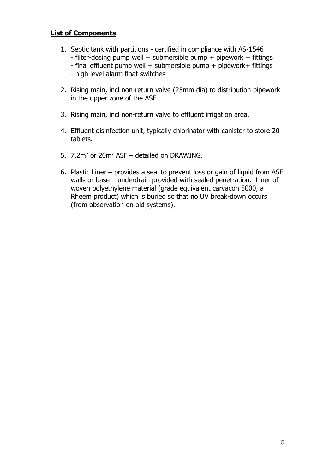#### **List of Components**

- 1. Septic tank with partitions certified in compliance with AS-1546 - filter-dosing pump well + submersible pump + pipework + fittings
	- $-$  final effluent pump well  $+$  submersible pump  $+$  pipework $+$  fittings
	- high level alarm float switches
- 2. Rising main, incl non-return valve (25mm dia) to distribution pipework in the upper zone of the ASF.
- 3. Rising main, incl non-return valve to effluent irrigation area.
- 4. Effluent disinfection unit, typically chlorinator with canister to store 20 tablets.
- 5. 7.2m² or 20m² ASF detailed on DRAWING.
- 6. Plastic Liner provides a seal to prevent loss or gain of liquid from ASF walls or base – underdrain provided with sealed penetration. Liner of woven polyethylene material (grade equivalent carvacon 5000, a Rheem product) which is buried so that no UV break-down occurs (from observation on old systems).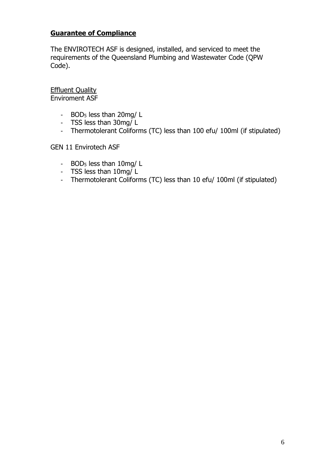#### **Guarantee of Compliance**

The ENVIROTECH ASF is designed, installed, and serviced to meet the requirements of the Queensland Plumbing and Wastewater Code (QPW Code).

**Effluent Quality** Enviroment ASF

- BOD<sup>5</sup> less than 20mg/ L
- TSS less than 30mg/ L
- Thermotolerant Coliforms (TC) less than 100 efu/ 100ml (if stipulated)

GEN 11 Envirotech ASF

- BOD<sub>5</sub> less than 10mg/L
- TSS less than 10mg/ L
- Thermotolerant Coliforms (TC) less than 10 efu/ 100ml (if stipulated)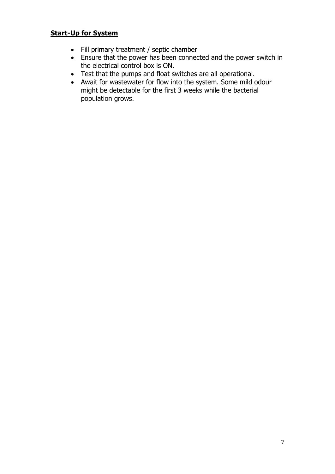#### **Start-Up for System**

- Fill primary treatment / septic chamber
- Ensure that the power has been connected and the power switch in the electrical control box is ON.
- Test that the pumps and float switches are all operational.
- Await for wastewater for flow into the system. Some mild odour might be detectable for the first 3 weeks while the bacterial population grows.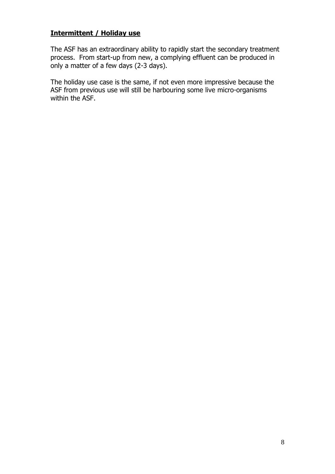#### **Intermittent / Holiday use**

The ASF has an extraordinary ability to rapidly start the secondary treatment process. From start-up from new, a complying effluent can be produced in only a matter of a few days (2-3 days).

The holiday use case is the same, if not even more impressive because the ASF from previous use will still be harbouring some live micro-organisms within the ASF.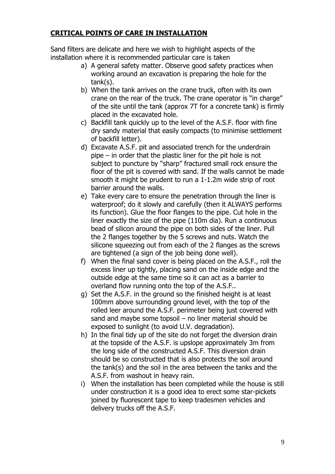#### **CRITICAL POINTS OF CARE IN INSTALLATION**

Sand filters are delicate and here we wish to highlight aspects of the installation where it is recommended particular care is taken

- a) A general safety matter. Observe good safety practices when working around an excavation is preparing the hole for the tank(s).
- b) When the tank arrives on the crane truck, often with its own crane on the rear of the truck. The crane operator is "in charge" of the site until the tank (approx 7T for a concrete tank) is firmly placed in the excavated hole.
- c) Backfill tank quickly up to the level of the A.S.F. floor with fine dry sandy material that easily compacts (to minimise settlement of backfill letter).
- d) Excavate A.S.F. pit and associated trench for the underdrain pipe – in order that the plastic liner for the pit hole is not subject to puncture by "sharp" fractured small rock ensure the floor of the pit is covered with sand. If the walls cannot be made smooth it might be prudent to run a 1-1.2m wide strip of root barrier around the walls.
- e) Take every care to ensure the penetration through the liner is waterproof; do it slowly and carefully (then it ALWAYS performs its function). Glue the floor flanges to the pipe. Cut hole in the liner exactly the size of the pipe (110m dia). Run a continuous bead of silicon around the pipe on both sides of the liner. Pull the 2 flanges together by the 5 screws and nuts. Watch the silicone squeezing out from each of the 2 flanges as the screws are tightened (a sign of the job being done well).
- f) When the final sand cover is being placed on the A.S.F., roll the excess liner up tightly, placing sand on the inside edge and the outside edge at the same time so it can act as a barrier to overland flow running onto the top of the A.S.F..
- g) Set the A.S.F. in the ground so the finished height is at least 100mm above surrounding ground level, with the top of the rolled leer around the A.S.F. perimeter being just covered with sand and maybe some topsoil – no liner material should be exposed to sunlight (to avoid U.V. degradation).
- h) In the final tidy up of the site do not forget the diversion drain at the topside of the A.S.F. is upslope approximately 3m from the long side of the constructed A.S.F. This diversion drain should be so constructed that is also protects the soil around the tank(s) and the soil in the area between the tanks and the A.S.F. from washout in heavy rain.
- i) When the installation has been completed while the house is still under construction it is a good idea to erect some star-pickets joined by fluorescent tape to keep tradesmen vehicles and delivery trucks off the A.S.F.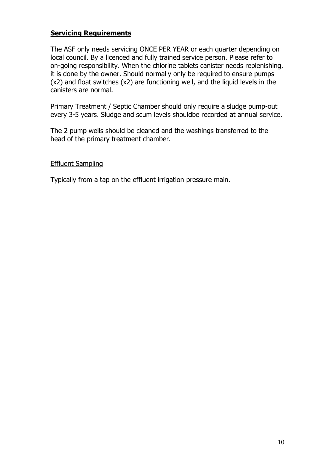#### **Servicing Requirements**

The ASF only needs servicing ONCE PER YEAR or each quarter depending on local council. By a licenced and fully trained service person. Please refer to on-going responsibility. When the chlorine tablets canister needs replenishing, it is done by the owner. Should normally only be required to ensure pumps (x2) and float switches (x2) are functioning well, and the liquid levels in the canisters are normal.

Primary Treatment / Septic Chamber should only require a sludge pump-out every 3-5 years. Sludge and scum levels shouldbe recorded at annual service.

The 2 pump wells should be cleaned and the washings transferred to the head of the primary treatment chamber.

#### Effluent Sampling

Typically from a tap on the effluent irrigation pressure main.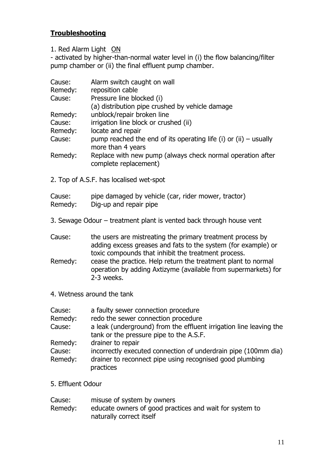#### **Troubleshooting**

1. Red Alarm Light ON

- activated by higher-than-normal water level in (i) the flow balancing/filter pump chamber or (ii) the final effluent pump chamber.

| Cause:  | Alarm switch caught on wall                                                             |
|---------|-----------------------------------------------------------------------------------------|
| Remedy: | reposition cable                                                                        |
| Cause:  | Pressure line blocked (i)                                                               |
|         | (a) distribution pipe crushed by vehicle damage                                         |
| Remedy: | unblock/repair broken line                                                              |
| Cause:  | irrigation line block or crushed (ii)                                                   |
| Remedy: | locate and repair                                                                       |
| Cause:  | pump reached the end of its operating life (i) or (ii) $-$ usually<br>more than 4 years |
| Remedy: | Replace with new pump (always check normal operation after<br>complete replacement)     |
|         |                                                                                         |

2. Top of A.S.F. has localised wet-spot

## Cause: pipe damaged by vehicle (car, rider mower, tractor)

- Remedy: Dig-up and repair pipe
- 3. Sewage Odour treatment plant is vented back through house vent

| Cause: | the users are mistreating the primary treatment process by    |
|--------|---------------------------------------------------------------|
|        | adding excess greases and fats to the system (for example) or |
|        | toxic compounds that inhibit the treatment process.           |

- Remedy: cease the practice. Help return the treatment plant to normal operation by adding Axtizyme (available from supermarkets) for 2-3 weeks.
- 4. Wetness around the tank

| Cause:  | a faulty sewer connection procedure                                |
|---------|--------------------------------------------------------------------|
| Remedy: | redo the sewer connection procedure                                |
| Cause:  | a leak (underground) from the effluent irrigation line leaving the |
|         | tank or the pressure pipe to the A.S.F.                            |
| Remedy: | drainer to repair                                                  |
| Cause:  | incorrectly executed connection of underdrain pipe (100mm dia)     |
| Remedy: | drainer to reconnect pipe using recognised good plumbing           |
|         | practices                                                          |

5. Effluent Odour

| Cause:  | misuse of system by owners                              |
|---------|---------------------------------------------------------|
| Remedy: | educate owners of good practices and wait for system to |
|         | naturally correct itself                                |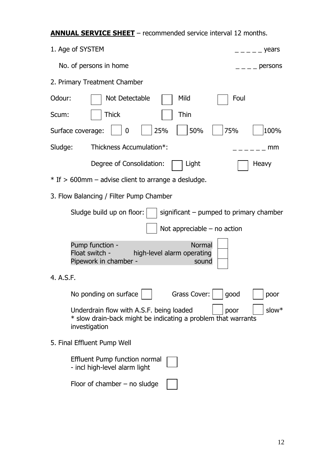### **ANNUAL SERVICE SHEET** – recommended service interval 12 months.

| 1. Age of SYSTEM<br><sub>- — —</sub> years                                                                                                  |
|---------------------------------------------------------------------------------------------------------------------------------------------|
| No. of persons in home<br>persons                                                                                                           |
| 2. Primary Treatment Chamber                                                                                                                |
| Odour:<br>Not Detectable<br>Mild<br>Foul                                                                                                    |
| Thick<br>Thin<br>Scum:                                                                                                                      |
| 50%<br>75%<br>25%<br>100%<br>$\mathbf 0$<br>Surface coverage:                                                                               |
| Sludge:<br>Thickness Accumulation*:<br>mm                                                                                                   |
| Degree of Consolidation:<br>Light<br>Heavy                                                                                                  |
| $*$ If $>$ 600mm – advise client to arrange a desludge.                                                                                     |
| 3. Flow Balancing / Filter Pump Chamber                                                                                                     |
| Sludge build up on floor:<br>significant – pumped to primary chamber                                                                        |
| Not appreciable $-$ no action                                                                                                               |
| <b>Normal</b><br>Pump function -<br>Float switch -<br>high-level alarm operating<br>Pipework in chamber -<br>sound                          |
| 4. A.S.F.                                                                                                                                   |
| No ponding on surface<br>Grass Cover:<br>good<br>poor                                                                                       |
| Underdrain flow with A.S.F. being loaded<br>slow*<br>poor<br>* slow drain-back might be indicating a problem that warrants<br>investigation |
| 5. Final Effluent Pump Well                                                                                                                 |
| Effluent Pump function normal<br>- incl high-level alarm light                                                                              |
| Floor of chamber $-$ no sludge                                                                                                              |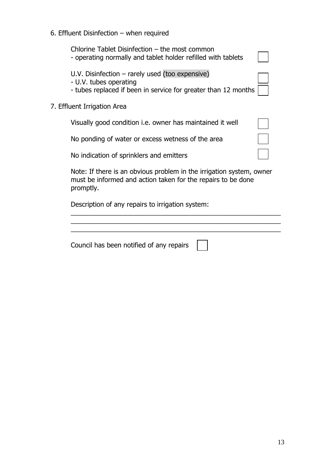#### 6. Effluent Disinfection – when required

| Chlorine Tablet Disinfection – the most common<br>- operating normally and tablet holder refilled with tablets                                    |  |
|---------------------------------------------------------------------------------------------------------------------------------------------------|--|
| U.V. Disinfection - rarely used (too expensive)<br>- U.V. tubes operating<br>- tubes replaced if been in service for greater than 12 months       |  |
| 7. Effluent Irrigation Area                                                                                                                       |  |
| Visually good condition <i>i.e.</i> owner has maintained it well                                                                                  |  |
| No ponding of water or excess wetness of the area                                                                                                 |  |
| No indication of sprinklers and emitters                                                                                                          |  |
| Note: If there is an obvious problem in the irrigation system, owner<br>must be informed and action taken for the repairs to be done<br>promptly. |  |

Description of any repairs to irrigation system:

\_\_\_\_\_\_\_\_\_\_\_\_\_\_\_\_\_\_\_\_\_\_\_\_\_\_\_\_\_\_\_\_\_\_\_\_\_\_\_\_\_\_\_\_\_\_\_\_\_\_\_\_\_\_\_\_\_ Council has been notified of any repairs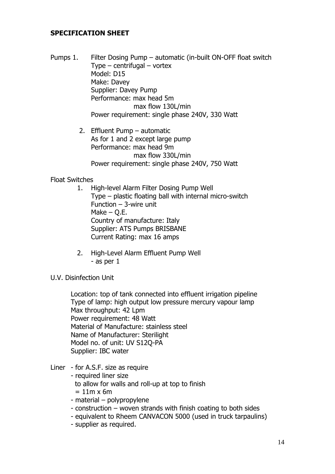#### **SPECIFICATION SHEET**

- Pumps 1. Filter Dosing Pump automatic (in-built ON-OFF float switch Type – centrifugal – vortex Model: D15 Make: Davey Supplier: Davey Pump Performance: max head 5m max flow 130L/min Power requirement: single phase 240V, 330 Watt
	- 2. Effluent Pump automatic As for 1 and 2 except large pump Performance: max head 9m max flow 330L/min Power requirement: single phase 240V, 750 Watt

#### Float Switches

- 1. High-level Alarm Filter Dosing Pump Well Type – plastic floating ball with internal micro-switch Function – 3-wire unit Make  $-$  O.E. Country of manufacture: Italy Supplier: ATS Pumps BRISBANE Current Rating: max 16 amps
- 2. High-Level Alarm Effluent Pump Well - as per 1
- U.V. Disinfection Unit

Location: top of tank connected into effluent irrigation pipeline Type of lamp: high output low pressure mercury vapour lamp Max throughput: 42 Lpm Power requirement: 48 Watt Material of Manufacture: stainless steel Name of Manufacturer: Sterilight Model no. of unit: UV S12Q-PA Supplier: IBC water

- Liner for A.S.F. size as require
	- required liner size to allow for walls and roll-up at top to finish  $= 11m \times 6m$ - material – polypropylene
	- construction woven strands with finish coating to both sides
	- equivalent to Rheem CANVACON 5000 (used in truck tarpaulins)
	- supplier as required.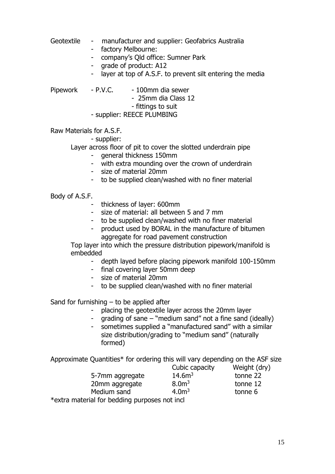- Geotextile manufacturer and supplier: Geofabrics Australia - factory Melbourne: - company's Qld office: Sumner Park
	- grade of product: A12
	- layer at top of A.S.F. to prevent silt entering the media

Pipework - P.V.C. - 100mm dia sewer - 25mm dia Class 12 - fittings to suit - supplier: REECE PLUMBING

Raw Materials for A.S.F.

- supplier:

Layer across floor of pit to cover the slotted underdrain pipe

- general thickness 150mm
- with extra mounding over the crown of underdrain
- size of material 20mm
- to be supplied clean/washed with no finer material

Body of A.S.F.

- thickness of layer: 600mm
- size of material: all between 5 and 7 mm
- to be supplied clean/washed with no finer material
- product used by BORAL in the manufacture of bitumen aggregate for road pavement construction

Top layer into which the pressure distribution pipework/manifold is embedded

- depth layed before placing pipework manifold 100-150mm
- final covering layer 50mm deep
- size of material 20mm
- to be supplied clean/washed with no finer material

Sand for furnishing  $-$  to be applied after

- placing the geotextile layer across the 20mm layer
- grading of sane "medium sand" not a fine sand (ideally)
- sometimes supplied a "manufactured sand" with a similar size distribution/grading to "medium sand" (naturally formed)

Approximate Quantities\* for ordering this will vary depending on the ASF size

|                                               | Cubic capacity     | Weight (dry) |  |
|-----------------------------------------------|--------------------|--------------|--|
| 5-7mm aggregate                               | 14.6m <sup>3</sup> | tonne 22     |  |
| 20mm aggregate                                | 8.0 <sup>m3</sup>  | tonne 12     |  |
| Medium sand                                   | 4.0 <sup>m3</sup>  | tonne 6      |  |
| *extra material for bedding purposes not incl |                    |              |  |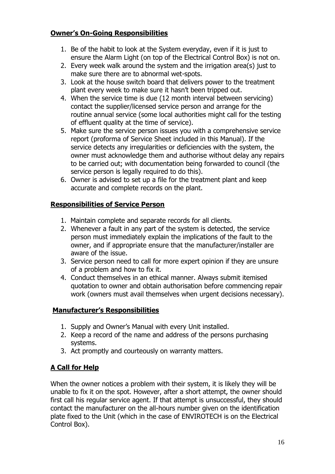#### **Owner's On-Going Responsibilities**

- 1. Be of the habit to look at the System everyday, even if it is just to ensure the Alarm Light (on top of the Electrical Control Box) is not on.
- 2. Every week walk around the system and the irrigation area(s) just to make sure there are to abnormal wet-spots.
- 3. Look at the house switch board that delivers power to the treatment plant every week to make sure it hasn't been tripped out.
- 4. When the service time is due (12 month interval between servicing) contact the supplier/licensed service person and arrange for the routine annual service (some local authorities might call for the testing of effluent quality at the time of service).
- 5. Make sure the service person issues you with a comprehensive service report (proforma of Service Sheet included in this Manual). If the service detects any irregularities or deficiencies with the system, the owner must acknowledge them and authorise without delay any repairs to be carried out; with documentation being forwarded to council (the service person is legally required to do this).
- 6. Owner is advised to set up a file for the treatment plant and keep accurate and complete records on the plant.

#### **Responsibilities of Service Person**

- 1. Maintain complete and separate records for all clients.
- 2. Whenever a fault in any part of the system is detected, the service person must immediately explain the implications of the fault to the owner, and if appropriate ensure that the manufacturer/installer are aware of the issue.
- 3. Service person need to call for more expert opinion if they are unsure of a problem and how to fix it.
- 4. Conduct themselves in an ethical manner. Always submit itemised quotation to owner and obtain authorisation before commencing repair work (owners must avail themselves when urgent decisions necessary).

#### **Manufacturer's Responsibilities**

- 1. Supply and Owner's Manual with every Unit installed.
- 2. Keep a record of the name and address of the persons purchasing systems.
- 3. Act promptly and courteously on warranty matters.

#### **A Call for Help**

When the owner notices a problem with their system, it is likely they will be unable to fix it on the spot. However, after a short attempt, the owner should first call his regular service agent. If that attempt is unsuccessful, they should contact the manufacturer on the all-hours number given on the identification plate fixed to the Unit (which in the case of ENVIROTECH is on the Electrical Control Box).